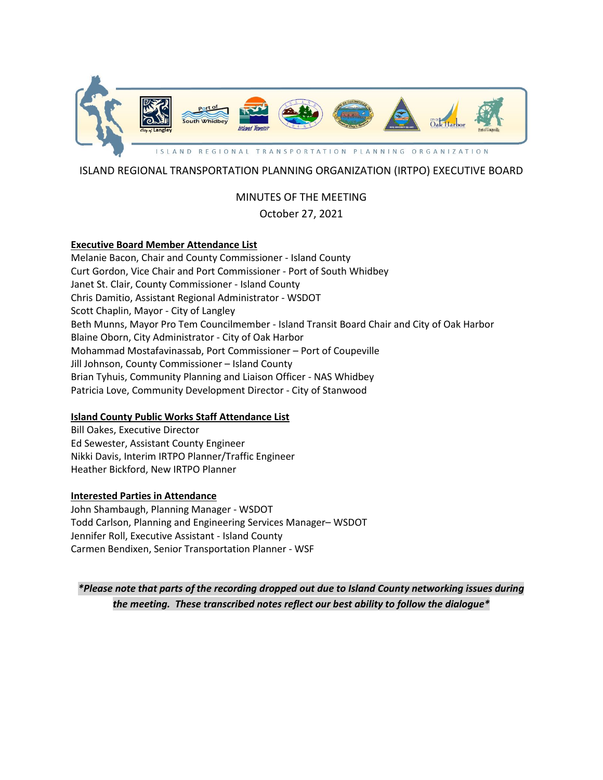

# ISLAND REGIONAL TRANSPORTATION PLANNING ORGANIZATION (IRTPO) EXECUTIVE BOARD

# MINUTES OF THE MEETING October 27, 2021

### **Executive Board Member Attendance List**

Melanie Bacon, Chair and County Commissioner - Island County Curt Gordon, Vice Chair and Port Commissioner - Port of South Whidbey Janet St. Clair, County Commissioner - Island County Chris Damitio, Assistant Regional Administrator - WSDOT Scott Chaplin, Mayor - City of Langley Beth Munns, Mayor Pro Tem Councilmember - Island Transit Board Chair and City of Oak Harbor Blaine Oborn, City Administrator - City of Oak Harbor Mohammad Mostafavinassab, Port Commissioner – Port of Coupeville Jill Johnson, County Commissioner – Island County Brian Tyhuis, Community Planning and Liaison Officer - NAS Whidbey Patricia Love, Community Development Director - City of Stanwood

# **Island County Public Works Staff Attendance List**

Bill Oakes, Executive Director Ed Sewester, Assistant County Engineer Nikki Davis, Interim IRTPO Planner/Traffic Engineer Heather Bickford, New IRTPO Planner

### **Interested Parties in Attendance**

John Shambaugh, Planning Manager - WSDOT Todd Carlson, Planning and Engineering Services Manager– WSDOT Jennifer Roll, Executive Assistant - Island County Carmen Bendixen, Senior Transportation Planner - WSF

*\*Please note that parts of the recording dropped out due to Island County networking issues during the meeting. These transcribed notes reflect our best ability to follow the dialogue\**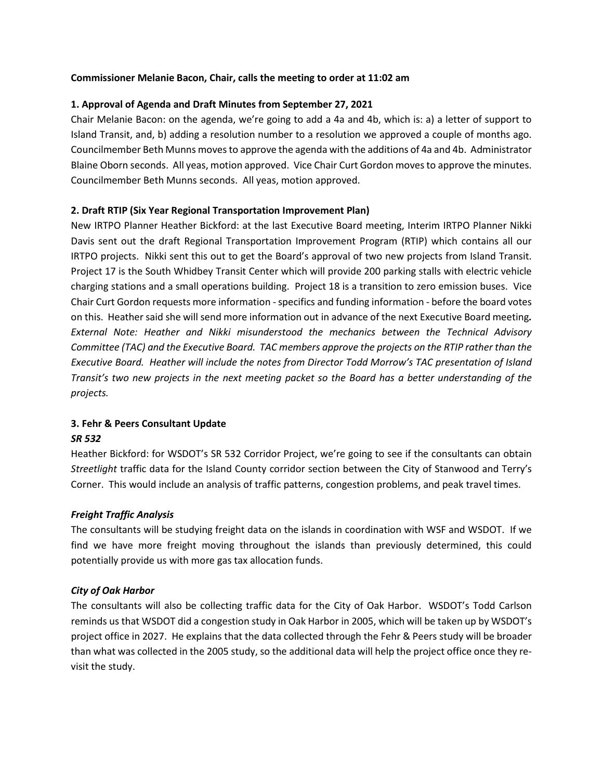### **Commissioner Melanie Bacon, Chair, calls the meeting to order at 11:02 am**

#### **1. Approval of Agenda and Draft Minutes from September 27, 2021**

Chair Melanie Bacon: on the agenda, we're going to add a 4a and 4b, which is: a) a letter of support to Island Transit, and, b) adding a resolution number to a resolution we approved a couple of months ago. Councilmember Beth Munns moves to approve the agenda with the additions of 4a and 4b. Administrator Blaine Oborn seconds. All yeas, motion approved. Vice Chair Curt Gordon moves to approve the minutes. Councilmember Beth Munns seconds. All yeas, motion approved.

#### **2. Draft RTIP (Six Year Regional Transportation Improvement Plan)**

New IRTPO Planner Heather Bickford: at the last Executive Board meeting, Interim IRTPO Planner Nikki Davis sent out the draft Regional Transportation Improvement Program (RTIP) which contains all our IRTPO projects. Nikki sent this out to get the Board's approval of two new projects from Island Transit. Project 17 is the South Whidbey Transit Center which will provide 200 parking stalls with electric vehicle charging stations and a small operations building. Project 18 is a transition to zero emission buses. Vice Chair Curt Gordon requests more information - specifics and funding information - before the board votes on this. Heathersaid she will send more information out in advance of the next Executive Board meeting*. External Note: Heather and Nikki misunderstood the mechanics between the Technical Advisory Committee (TAC) and the Executive Board. TAC members approve the projects on the RTIP rather than the Executive Board. Heather will include the notes from Director Todd Morrow's TAC presentation of Island Transit's two new projects in the next meeting packet so the Board has a better understanding of the projects.*

# **3. Fehr & Peers Consultant Update**

### *SR 532*

Heather Bickford: for WSDOT's SR 532 Corridor Project, we're going to see if the consultants can obtain *Streetlight* traffic data for the Island County corridor section between the City of Stanwood and Terry's Corner. This would include an analysis of traffic patterns, congestion problems, and peak travel times.

### *Freight Traffic Analysis*

The consultants will be studying freight data on the islands in coordination with WSF and WSDOT. If we find we have more freight moving throughout the islands than previously determined, this could potentially provide us with more gas tax allocation funds.

### *City of Oak Harbor*

The consultants will also be collecting traffic data for the City of Oak Harbor. WSDOT's Todd Carlson reminds us that WSDOT did a congestion study in Oak Harbor in 2005, which will be taken up by WSDOT's project office in 2027. He explains that the data collected through the Fehr & Peers study will be broader than what was collected in the 2005 study, so the additional data will help the project office once they revisit the study.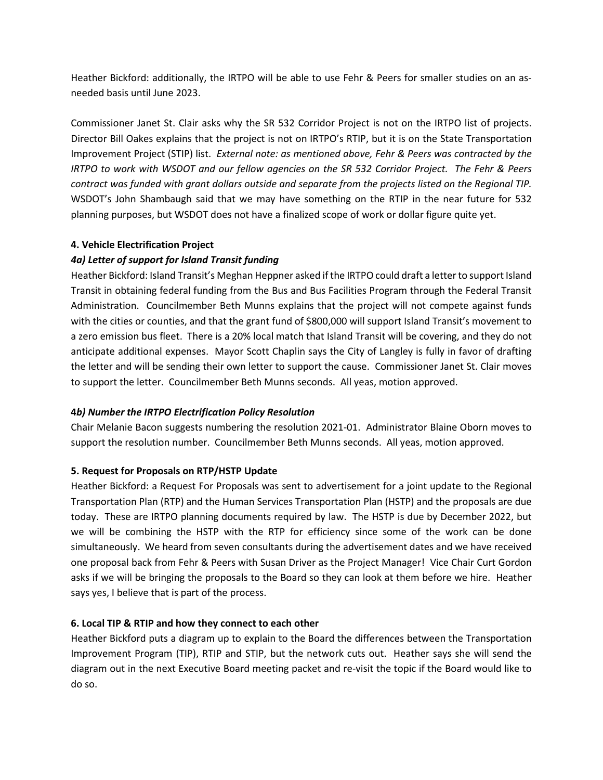Heather Bickford: additionally, the IRTPO will be able to use Fehr & Peers for smaller studies on an asneeded basis until June 2023.

Commissioner Janet St. Clair asks why the SR 532 Corridor Project is not on the IRTPO list of projects. Director Bill Oakes explains that the project is not on IRTPO's RTIP, but it is on the State Transportation Improvement Project (STIP) list. *External note: as mentioned above, Fehr & Peers was contracted by the IRTPO to work with WSDOT and our fellow agencies on the SR 532 Corridor Project. The Fehr & Peers contract was funded with grant dollars outside and separate from the projects listed on the Regional TIP.*  WSDOT's John Shambaugh said that we may have something on the RTIP in the near future for 532 planning purposes, but WSDOT does not have a finalized scope of work or dollar figure quite yet.

# **4. Vehicle Electrification Project**

# *4a) Letter of support for Island Transit funding*

Heather Bickford: Island Transit's Meghan Heppner asked if the IRTPO could draft a letter to support Island Transit in obtaining federal funding from the Bus and Bus Facilities Program through the Federal Transit Administration. Councilmember Beth Munns explains that the project will not compete against funds with the cities or counties, and that the grant fund of \$800,000 will support Island Transit's movement to a zero emission bus fleet. There is a 20% local match that Island Transit will be covering, and they do not anticipate additional expenses. Mayor Scott Chaplin says the City of Langley is fully in favor of drafting the letter and will be sending their own letter to support the cause. Commissioner Janet St. Clair moves to support the letter. Councilmember Beth Munns seconds. All yeas, motion approved.

### **4***b) Number the IRTPO Electrification Policy Resolution*

Chair Melanie Bacon suggests numbering the resolution 2021-01. Administrator Blaine Oborn moves to support the resolution number. Councilmember Beth Munns seconds. All yeas, motion approved.

### **5. Request for Proposals on RTP/HSTP Update**

Heather Bickford: a Request For Proposals was sent to advertisement for a joint update to the Regional Transportation Plan (RTP) and the Human Services Transportation Plan (HSTP) and the proposals are due today. These are IRTPO planning documents required by law. The HSTP is due by December 2022, but we will be combining the HSTP with the RTP for efficiency since some of the work can be done simultaneously. We heard from seven consultants during the advertisement dates and we have received one proposal back from Fehr & Peers with Susan Driver as the Project Manager! Vice Chair Curt Gordon asks if we will be bringing the proposals to the Board so they can look at them before we hire. Heather says yes, I believe that is part of the process.

### **6. Local TIP & RTIP and how they connect to each other**

Heather Bickford puts a diagram up to explain to the Board the differences between the Transportation Improvement Program (TIP), RTIP and STIP, but the network cuts out. Heather says she will send the diagram out in the next Executive Board meeting packet and re-visit the topic if the Board would like to do so.